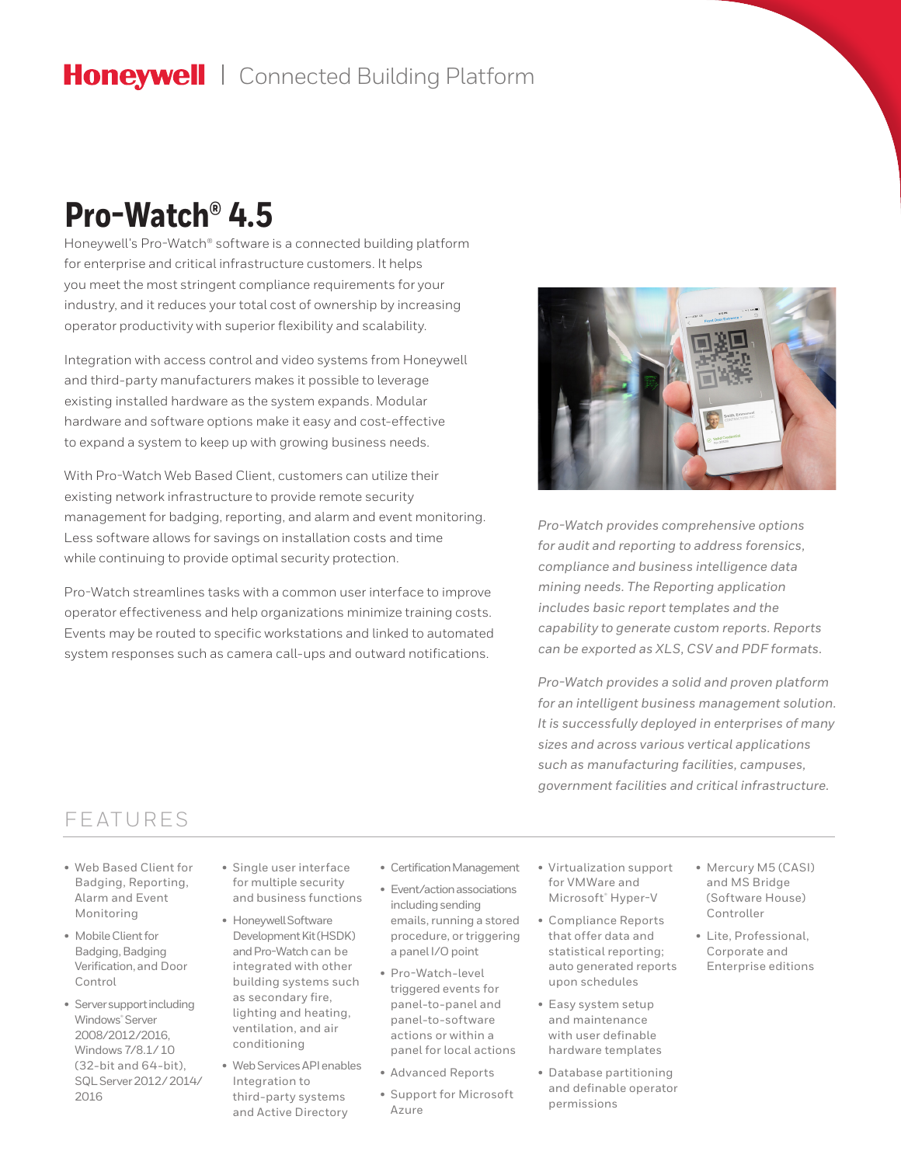# Honeywell | Connected Building Platform

# **Pro-Watch® 4.5**

Honeywell's Pro-Watch® software is a connected building platform for enterprise and critical infrastructure customers. It helps you meet the most stringent compliance requirements for your industry, and it reduces your total cost of ownership by increasing operator productivity with superior flexibility and scalability.

Integration with access control and video systems from Honeywell and third-party manufacturers makes it possible to leverage existing installed hardware as the system expands. Modular hardware and software options make it easy and cost-effective to expand a system to keep up with growing business needs.

With Pro-Watch Web Based Client, customers can utilize their existing network infrastructure to provide remote security management for badging, reporting, and alarm and event monitoring. Less software allows for savings on installation costs and time while continuing to provide optimal security protection.

Pro-Watch streamlines tasks with a common user interface to improve operator effectiveness and help organizations minimize training costs. Events may be routed to specific workstations and linked to automated system responses such as camera call-ups and outward notifications.



*Pro-Watch provides comprehensive options for audit and reporting to address forensics, compliance and business intelligence data mining needs. The Reporting application includes basic report templates and the capability to generate custom reports. Reports can be exported as XLS, CSV and PDF formats.* 

*Pro-Watch provides a solid and proven platform for an intelligent business management solution. It is successfully deployed in enterprises of many sizes and across various vertical applications such as manufacturing facilities, campuses, government facilities and critical infrastructure.*

### FEATURES

- Web Based Client for Badging, Reporting, Alarm and Event Monitoring
- Mobile Client for Badging, Badging Verification, and Door Control
- Server support including Windows® Server 2008/2012/2016, Windows 7/8.1/ 10 (32-bit and 64-bit), SQL Server 2012/ 2014/ 2016
- Single user interface for multiple security and business functions
- Honeywell Software Development Kit (HSDK) and Pro-Watch can be integrated with other building systems such as secondary fire, lighting and heating, ventilation, and air conditioning
- Web Services API enables Integration to third-party systems and Active Directory
- Certification Management
	- Event/action associations including sending emails, running a stored procedure, or triggering a panel I/O point
	- Pro-Watch-level triggered events for panel-to-panel and panel-to-software actions or within a panel for local actions
- Advanced Reports
- Support for Microsoft Azure
- Virtualization support for VMWare and Microsoft<sup>®</sup> Hyper-V
- Compliance Reports that offer data and statistical reporting; auto generated reports upon schedules
- Easy system setup and maintenance with user definable hardware templates
- Database partitioning and definable operator permissions
- Mercury M5 (CASI) and MS Bridge (Software House) Controller
- Lite, Professional, Corporate and Enterprise editions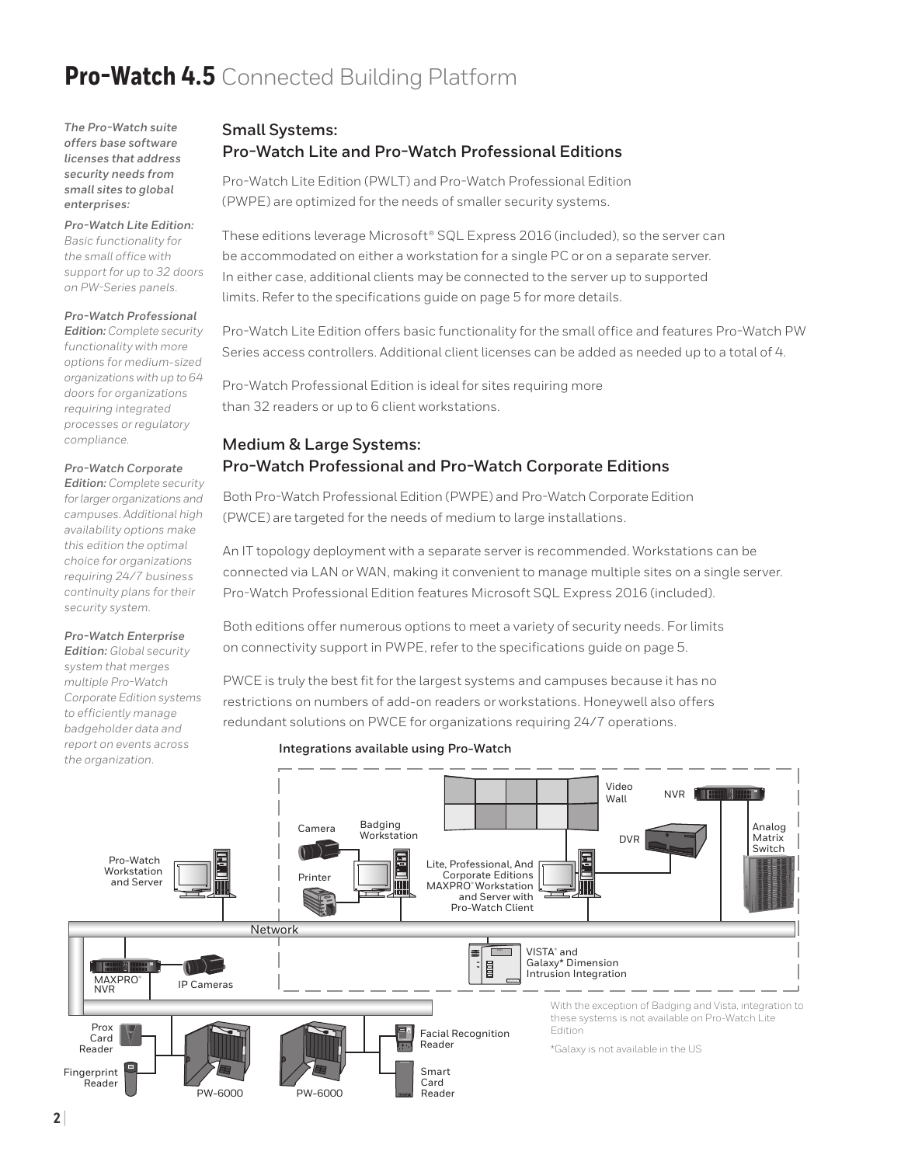*The Pro-Watch suite offers base software licenses that address security needs from small sites to global enterprises:*

#### *Pro-Watch Lite Edition:*

*Basic functionality for the small office with support for up to 32 doors on PW-Series panels.* 

#### *Pro-Watch Professional*

*Edition: Complete security functionality with more options for medium-sized organizations with up to 64 doors for organizations requiring integrated processes or regulatory compliance.*

#### *Pro-Watch Corporate*

*Edition: Complete security for larger organizations and campuses. Additional high availability options make this edition the optimal choice for organizations requiring 24/7 business continuity plans for their security system.*

#### *Pro-Watch Enterprise*

*Edition: Global security system that merges multiple Pro-Watch Corporate Edition systems to efficiently manage badgeholder data and report on events across the organization.* 

#### **Small Systems:  Pro-Watch Lite and Pro-Watch Professional Editions**

Pro-Watch Lite Edition (PWLT) and Pro-Watch Professional Edition (PWPE) are optimized for the needs of smaller security systems.

These editions leverage Microsoft® SQL Express 2016 (included), so the server can be accommodated on either a workstation for a single PC or on a separate server. In either case, additional clients may be connected to the server up to supported limits. Refer to the specifications guide on page 5 for more details.

Pro-Watch Lite Edition offers basic functionality for the small office and features Pro-Watch PW Series access controllers. Additional client licenses can be added as needed up to a total of 4.

Pro-Watch Professional Edition is ideal for sites requiring more than 32 readers or up to 6 client workstations.

#### **Medium & Large Systems:  Pro-Watch Professional and Pro-Watch Corporate Editions**

Both Pro-Watch Professional Edition (PWPE) and Pro-Watch Corporate Edition (PWCE) are targeted for the needs of medium to large installations.

An IT topology deployment with a separate server is recommended. Workstations can be connected via LAN or WAN, making it convenient to manage multiple sites on a single server. Pro-Watch Professional Edition features Microsoft SQL Express 2016 (included).

Both editions offer numerous options to meet a variety of security needs. For limits on connectivity support in PWPE, refer to the specifications guide on page 5.

PWCE is truly the best fit for the largest systems and campuses because it has no restrictions on numbers of add-on readers or workstations. Honeywell also offers redundant solutions on PWCE for organizations requiring 24/7 operations.

#### **Integrations available using Pro-Watch**

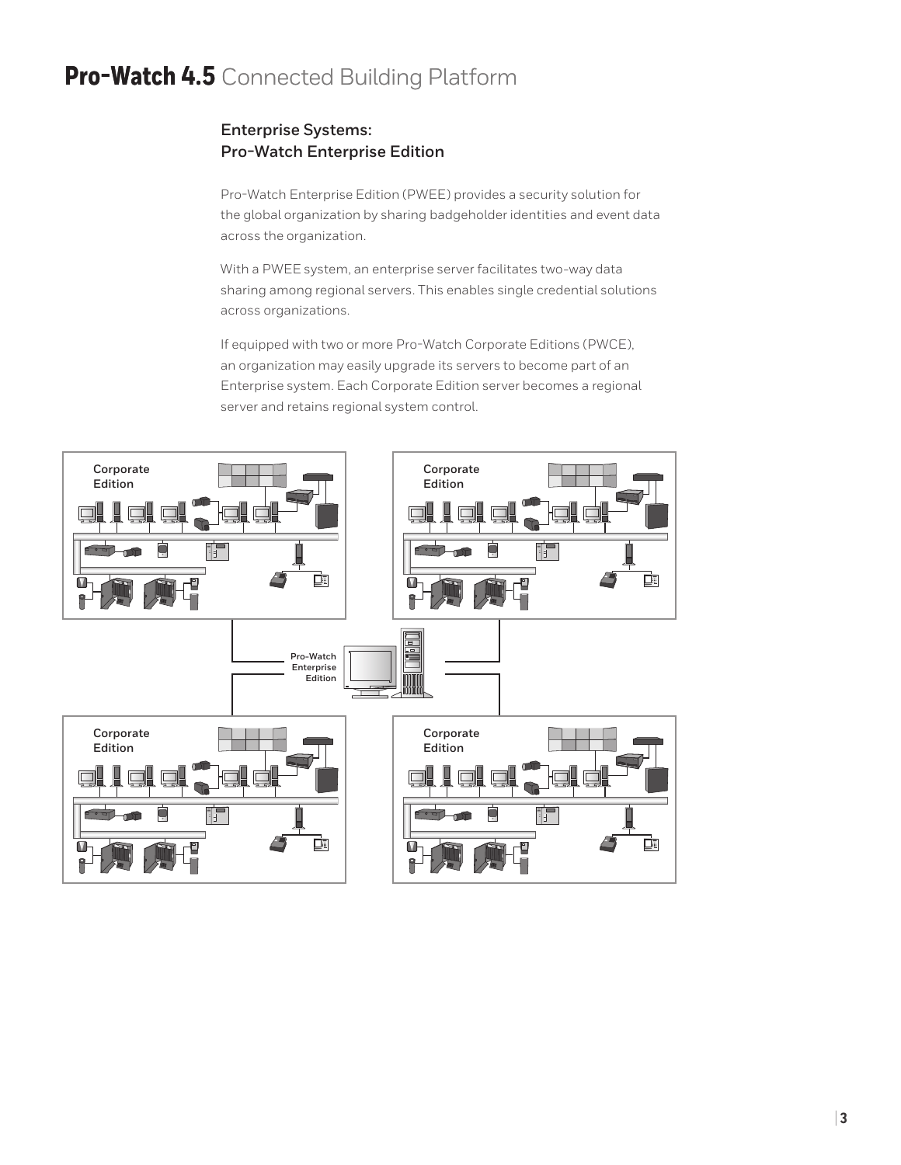### **Enterprise Systems: Pro-Watch Enterprise Edition**

Pro-Watch Enterprise Edition (PWEE) provides a security solution for the global organization by sharing badgeholder identities and event data across the organization.

With a PWEE system, an enterprise server facilitates two-way data sharing among regional servers. This enables single credential solutions across organizations.

If equipped with two or more Pro-Watch Corporate Editions (PWCE), an organization may easily upgrade its servers to become part of an Enterprise system. Each Corporate Edition server becomes a regional server and retains regional system control.

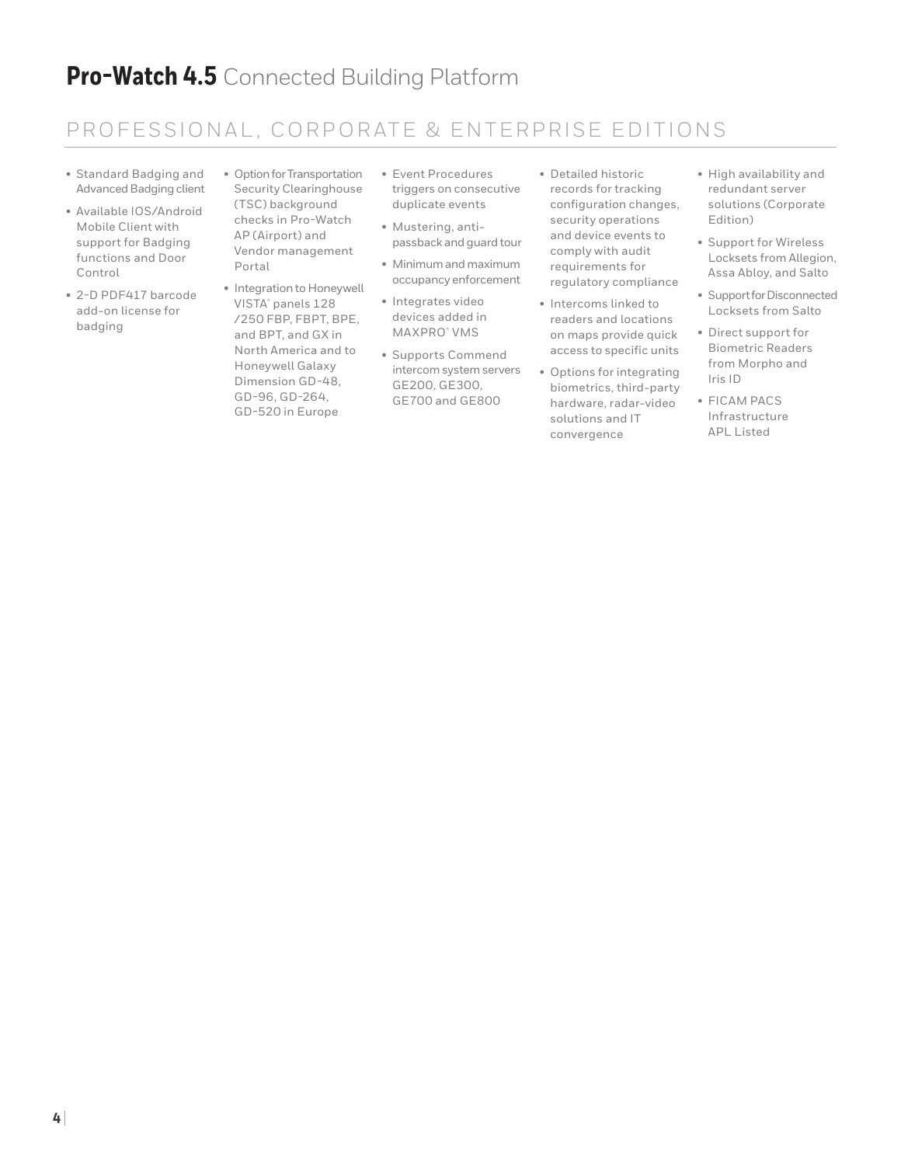### PROFESSIONAL, CORPORATE & ENTERPRISE EDITIONS

- Standard Badging and Advanced Badging client
- Available IOS/Android Mobile Client with support for Badging functions and Door Control
- 2-D PDF417 barcode add-on license for badging
- Option for Transportation Security Clearinghouse (TSC) background checks in Pro-Watch AP (Airport) and Vendor management Portal
- Integration to Honeywell VISTA® panels 128 /250 FBP, FBPT, BPE, and BPT, and GX in North America and to Honeywell Galaxy Dimension GD-48, GD-96, GD-264, GD-520 in Europe
- Event Procedures triggers on consecutive duplicate events
- Mustering, antipassback and guard tour
- Minimum and maximum occupancy enforcement
- Integrates video devices added in MAXPRO® VMS
- Supports Commend intercom system servers GE200, GE300, GE700 and GE800
- Detailed historic records for tracking configuration changes, security operations and device events to comply with audit requirements for regulatory compliance
- Intercoms linked to readers and locations on maps provide quick access to specific units
- Options for integrating biometrics, third-party hardware, radar-video solutions and IT convergence
- High availability and redundant server solutions (Corporate Edition)
- Support for Wireless Locksets from Allegion, Assa Abloy, and Salto
- Support for Disconnected Locksets from Salto
- Direct support for Biometric Readers from Morpho and Iris ID
- FICAM PACS Infrastructure APL Listed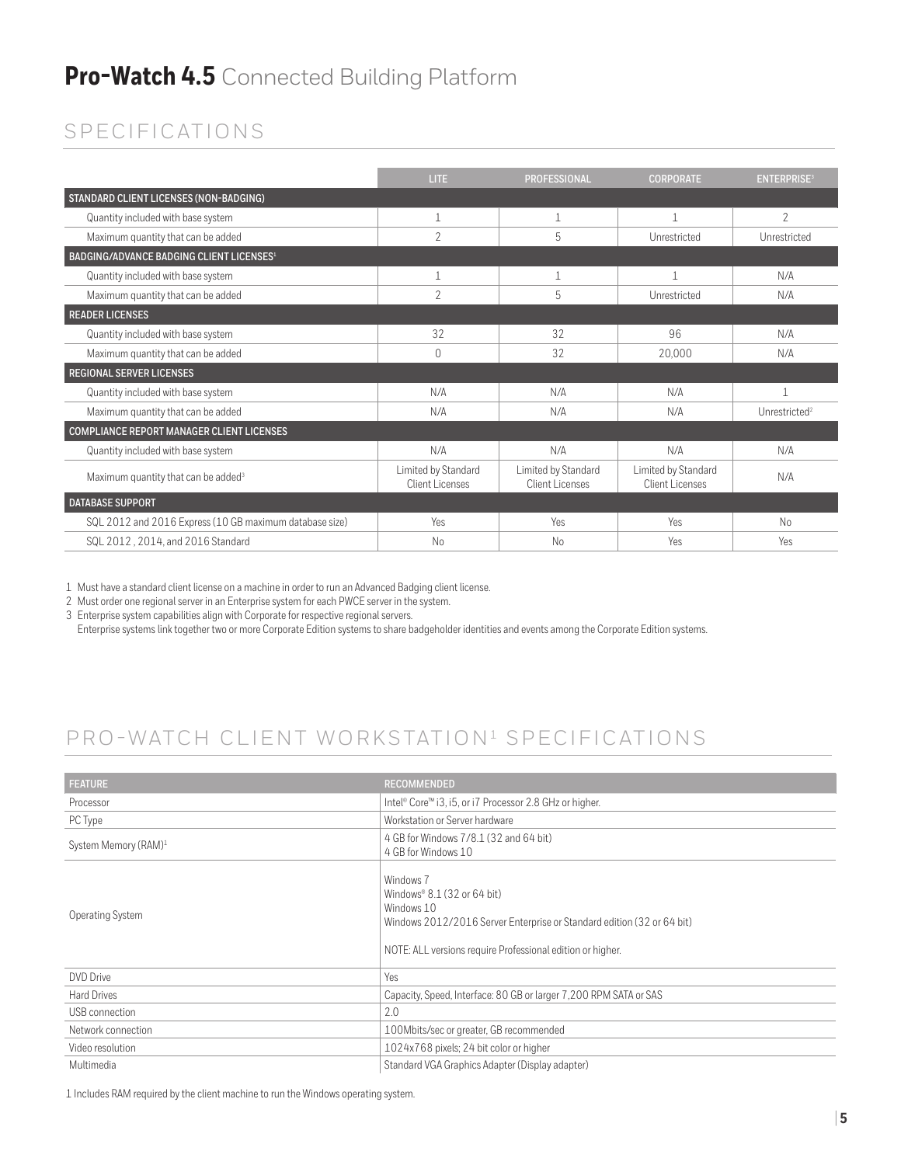## SPECIFICATIONS

|                                                         | <b>LITE</b>                            | <b>PROFESSIONAL</b>                    | <b>CORPORATE</b>                       | <b>ENTERPRISE<sup>3</sup></b> |
|---------------------------------------------------------|----------------------------------------|----------------------------------------|----------------------------------------|-------------------------------|
| STANDARD CLIENT LICENSES (NON-BADGING)                  |                                        |                                        |                                        |                               |
| Quantity included with base system                      | 1                                      |                                        |                                        | $\overline{2}$                |
| Maximum quantity that can be added                      | 2                                      | 5                                      | Unrestricted                           | Unrestricted                  |
| BADGING/ADVANCE BADGING CLIENT LICENSES <sup>1</sup>    |                                        |                                        |                                        |                               |
| Quantity included with base system                      | 1                                      |                                        |                                        | N/A                           |
| Maximum quantity that can be added                      | 2                                      | 5                                      | Unrestricted                           | N/A                           |
| <b>READER LICENSES</b>                                  |                                        |                                        |                                        |                               |
| Quantity included with base system                      | 32                                     | 32                                     | 96                                     | N/A                           |
| Maximum quantity that can be added                      | $\Omega$                               | 32                                     | 20.000                                 | N/A                           |
| <b>REGIONAL SERVER LICENSES</b>                         |                                        |                                        |                                        |                               |
| Quantity included with base system                      | N/A                                    | N/A                                    | N/A                                    |                               |
| Maximum quantity that can be added                      | N/A                                    | N/A                                    | N/A                                    | Unrestricted <sup>2</sup>     |
| COMPLIANCE REPORT MANAGER CLIENT LICENSES               |                                        |                                        |                                        |                               |
| Quantity included with base system                      | N/A                                    | N/A                                    | N/A                                    | N/A                           |
| Maximum quantity that can be added <sup>3</sup>         | Limited by Standard<br>Client Licenses | Limited by Standard<br>Client Licenses | Limited by Standard<br>Client Licenses | N/A                           |
| <b>DATABASE SUPPORT</b>                                 |                                        |                                        |                                        |                               |
| SQL 2012 and 2016 Express (10 GB maximum database size) | Yes                                    | Yes                                    | Yes                                    | No                            |
| SQL 2012, 2014, and 2016 Standard                       | No                                     | No                                     | Yes                                    | Yes                           |

1 Must have a standard client license on a machine in order to run an Advanced Badging client license.

2 Must order one regional server in an Enterprise system for each PWCE server in the system.

3 Enterprise system capabilities align with Corporate for respective regional servers.

Enterprise systems link together two or more Corporate Edition systems to share badgeholder identities and events among the Corporate Edition systems.

## PRO-WATCH CLIENT WORKSTATION<sup>1</sup> SPECIFICATIONS

| <b>FEATURE</b>                   | <b>RECOMMENDED</b>                                                                                                                                                                               |
|----------------------------------|--------------------------------------------------------------------------------------------------------------------------------------------------------------------------------------------------|
| Processor                        | Intel® Core™ i3, i5, or i7 Processor 2.8 GHz or higher.                                                                                                                                          |
| PC Type                          | Workstation or Server hardware                                                                                                                                                                   |
| System Memory (RAM) <sup>1</sup> | 4 GB for Windows 7/8.1 (32 and 64 bit)<br>4 GB for Windows 10                                                                                                                                    |
| Operating System                 | Windows 7<br>Windows® $8.1$ (32 or 64 bit)<br>Windows 10<br>Windows 2012/2016 Server Enterprise or Standard edition (32 or 64 bit)<br>NOTE: ALL versions require Professional edition or higher. |
| <b>DVD</b> Drive                 | Yes                                                                                                                                                                                              |
| <b>Hard Drives</b>               | Capacity, Speed, Interface: 80 GB or larger 7,200 RPM SATA or SAS                                                                                                                                |
| USB connection                   | 2.0                                                                                                                                                                                              |
| Network connection               | 100Mbits/sec or greater, GB recommended                                                                                                                                                          |
| Video resolution                 | 1024x768 pixels; 24 bit color or higher                                                                                                                                                          |
| Multimedia                       | Standard VGA Graphics Adapter (Display adapter)                                                                                                                                                  |

1 Includes RAM required by the client machine to run the Windows operating system.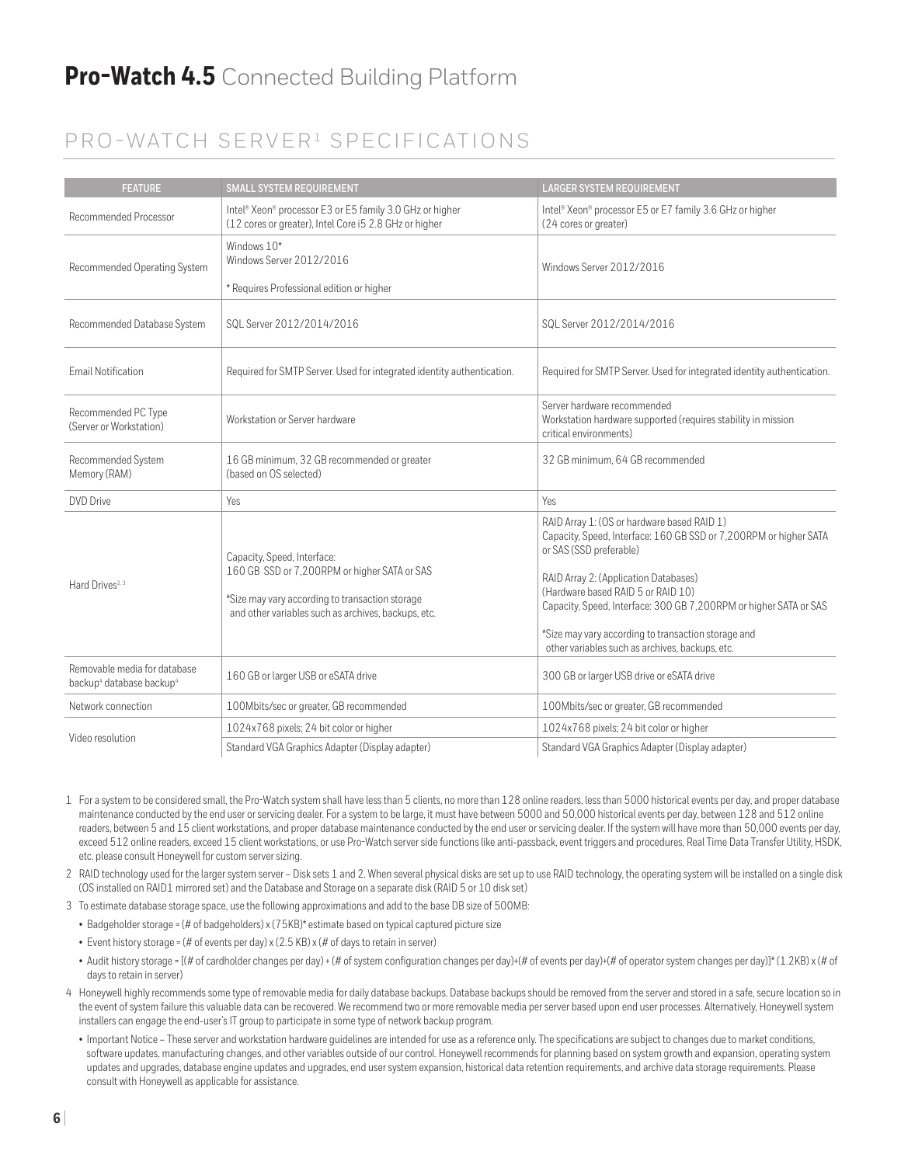### PRO-WATCH SERVER<sup>1</sup> SPECIFICATIONS

| <b>FEATURE</b>                                                                   | <b>SMALL SYSTEM REQUIREMENT</b>                                                                                    | <b>LARGER SYSTEM REQUIREMENT</b>                                                                                                                                                                                           |
|----------------------------------------------------------------------------------|--------------------------------------------------------------------------------------------------------------------|----------------------------------------------------------------------------------------------------------------------------------------------------------------------------------------------------------------------------|
| Recommended Processor                                                            | Intel® Xeon® processor E3 or E5 family 3.0 GHz or higher<br>(12 cores or greater), Intel Core i5 2.8 GHz or higher | Intel® Xeon® processor E5 or E7 family 3.6 GHz or higher<br>(24 cores or greater)                                                                                                                                          |
| Recommended Operating System                                                     | Windows 10*<br>Windows Server 2012/2016                                                                            | Windows Server 2012/2016                                                                                                                                                                                                   |
|                                                                                  | * Requires Professional edition or higher                                                                          |                                                                                                                                                                                                                            |
| Recommended Database System                                                      | SQL Server 2012/2014/2016                                                                                          | SQL Server 2012/2014/2016                                                                                                                                                                                                  |
| <b>Email Notification</b>                                                        | Required for SMTP Server. Used for integrated identity authentication.                                             | Required for SMTP Server. Used for integrated identity authentication.                                                                                                                                                     |
| Recommended PC Type<br>(Server or Workstation)                                   | Workstation or Server hardware                                                                                     | Server hardware recommended<br>Workstation hardware supported (requires stability in mission<br>critical environments)                                                                                                     |
| Recommended System<br>Memory (RAM)                                               | 16 GB minimum, 32 GB recommended or greater<br>(based on OS selected)                                              | 32 GB minimum, 64 GB recommended                                                                                                                                                                                           |
| DVD Drive                                                                        | Yes                                                                                                                | <b>Yes</b>                                                                                                                                                                                                                 |
| Hard Drives <sup>2, 3</sup>                                                      | Capacity, Speed, Interface:<br>160 GB SSD or 7,200RPM or higher SATA or SAS                                        | RAID Array 1: (OS or hardware based RAID 1)<br>Capacity, Speed, Interface: 160 GB SSD or 7,200RPM or higher SATA<br>or SAS (SSD preferable)<br>RAID Array 2: (Application Databases)<br>(Hardware based RAID 5 or RAID 10) |
|                                                                                  | *Size may vary according to transaction storage<br>and other variables such as archives, backups, etc.             | Capacity, Speed, Interface: 300 GB 7, 200RPM or higher SATA or SAS                                                                                                                                                         |
|                                                                                  |                                                                                                                    | *Size may vary according to transaction storage and<br>other variables such as archives, backups, etc.                                                                                                                     |
| Removable media for database<br>backup <sup>4</sup> database backup <sup>4</sup> | 160 GB or larger USB or eSATA drive                                                                                | 300 GB or larger USB drive or eSATA drive                                                                                                                                                                                  |
| Network connection                                                               | 100Mbits/sec or greater, GB recommended                                                                            | 100Mbits/sec or greater, GB recommended                                                                                                                                                                                    |
| Video resolution                                                                 | 1024x768 pixels; 24 bit color or higher                                                                            | 1024x768 pixels; 24 bit color or higher                                                                                                                                                                                    |
|                                                                                  | Standard VGA Graphics Adapter (Display adapter)                                                                    | Standard VGA Graphics Adapter (Display adapter)                                                                                                                                                                            |

- 1 For a system to be considered small, the Pro-Watch system shall have less than 5 clients, no more than 128 online readers, less than 5000 historical events per day, and proper database maintenance conducted by the end user or servicing dealer. For a system to be large, it must have between 5000 and 50,000 historical events per day, between 128 and 512 online readers, between 5 and 15 client workstations, and proper database maintenance conducted by the end user or servicing dealer. If the system will have more than 50,000 events per day, exceed 512 online readers, exceed 15 client workstations, or use Pro-Watch server side functions like anti-passback, event triggers and procedures, Real Time Data Transfer Utility, HSDK, etc. please consult Honeywell for custom server sizing.
- 2 RAID technology used for the larger system server Disk sets 1 and 2. When several physical disks are set up to use RAID technology, the operating system will be installed on a single disk (OS installed on RAID1 mirrored set) and the Database and Storage on a separate disk (RAID 5 or 10 disk set)
- 3 To estimate database storage space, use the following approximations and add to the base DB size of 500MB:
	- Badgeholder storage = (# of badgeholders) x (75KB)\* estimate based on typical captured picture size
	- Event history storage = (# of events per day)  $x$  (2.5 KB)  $x$  (# of days to retain in server)
- Audit history storage = [(# of cardholder changes per day) + (# of system configuration changes per day)+(# of events per day)+(# of operator system changes per day)]\* (1.2KB) x (# of days to retain in server)
- 4 Honeywell highly recommends some type of removable media for daily database backups. Database backups should be removed from the server and stored in a safe, secure location so in the event of system failure this valuable data can be recovered. We recommend two or more removable media per server based upon end user processes. Alternatively, Honeywell system installers can engage the end-user's IT group to participate in some type of network backup program.
	- Important Notice These server and workstation hardware guidelines are intended for use as a reference only. The specifications are subject to changes due to market conditions, software updates, manufacturing changes, and other variables outside of our control. Honeywell recommends for planning based on system growth and expansion, operating system updates and upgrades, database engine updates and upgrades, end user system expansion, historical data retention requirements, and archive data storage requirements. Please consult with Honeywell as applicable for assistance.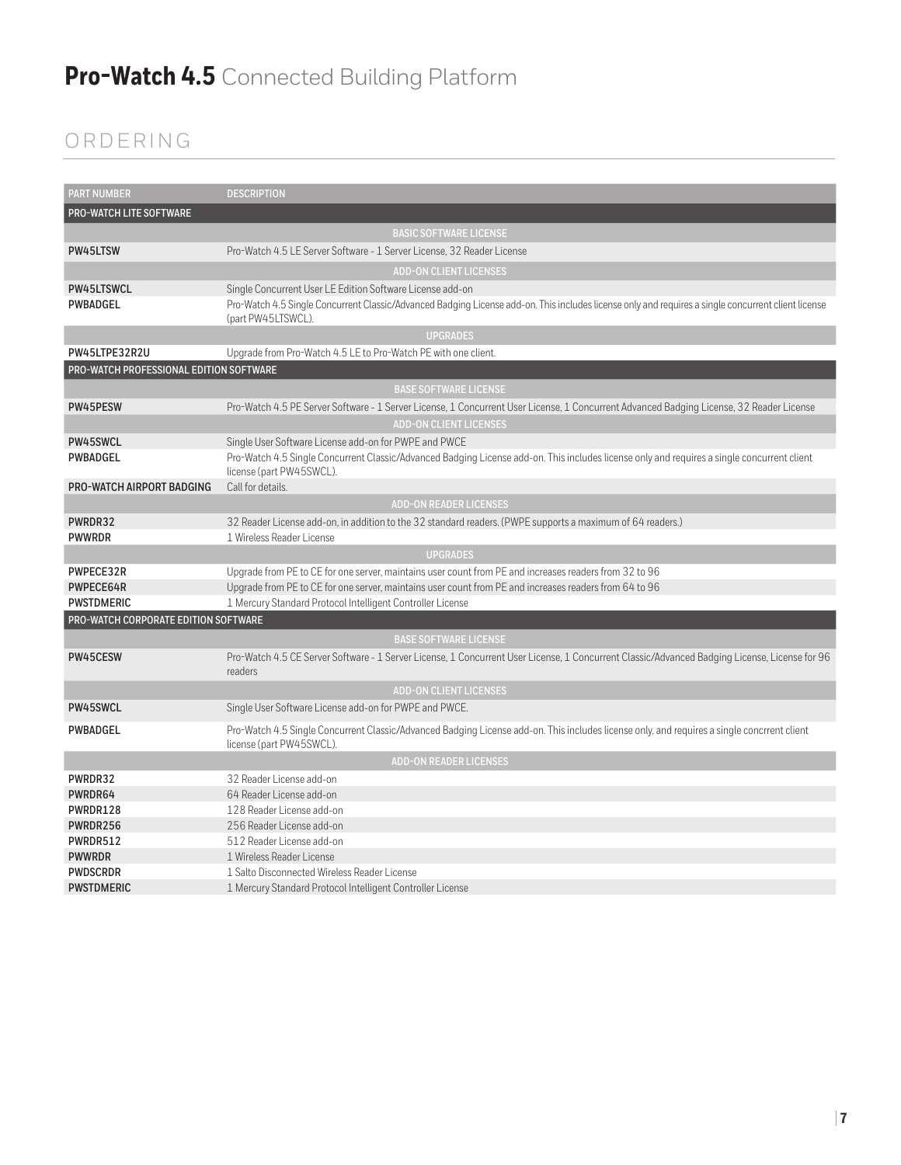## ORDERING

| <b>PART NUMBER</b>                      | <b>DESCRIPTION</b>                                                                                                                                                        |
|-----------------------------------------|---------------------------------------------------------------------------------------------------------------------------------------------------------------------------|
| <b>PRO-WATCH LITE SOFTWARE</b>          |                                                                                                                                                                           |
|                                         | <b>BASIC SOFTWARE LICENSE</b>                                                                                                                                             |
| PW45LTSW                                | Pro-Watch 4.5 LE Server Software - 1 Server License, 32 Reader License                                                                                                    |
|                                         | <b>ADD-ON CLIENT LICENSES</b>                                                                                                                                             |
| PW45LTSWCL                              | Single Concurrent User LE Edition Software License add-on                                                                                                                 |
| <b>PWBADGEL</b>                         | Pro-Watch 4.5 Single Concurrent Classic/Advanced Badging License add-on. This includes license only and requires a single concurrent client license<br>(part PW45LTSWCL). |
|                                         | <b>UPGRADES</b>                                                                                                                                                           |
| PW45LTPE32R2U                           | Upgrade from Pro-Watch 4.5 LE to Pro-Watch PE with one client.                                                                                                            |
| PRO-WATCH PROFESSIONAL EDITION SOFTWARE |                                                                                                                                                                           |
|                                         | <b>BASE SOFTWARE LICENSE</b>                                                                                                                                              |
| PW45PESW                                | Pro-Watch 4.5 PE Server Software - 1 Server License, 1 Concurrent User License, 1 Concurrent Advanced Badging License, 32 Reader License                                  |
|                                         | <b>ADD-ON CLIENT LICENSES</b>                                                                                                                                             |
| PW45SWCL                                | Single User Software License add-on for PWPE and PWCE                                                                                                                     |
| <b>PWBADGEL</b>                         | Pro-Watch 4.5 Single Concurrent Classic/Advanced Badging License add-on. This includes license only and requires a single concurrent client<br>license (part PW45SWCL).   |
| PRO-WATCH AIRPORT BADGING               | Call for details.                                                                                                                                                         |
|                                         | <b>ADD-ON READER LICENSES</b>                                                                                                                                             |
| PWRDR32                                 | 32 Reader License add-on, in addition to the 32 standard readers. (PWPE supports a maximum of 64 readers.)                                                                |
| <b>PWWRDR</b>                           | 1 Wireless Reader License                                                                                                                                                 |
|                                         | <b>UPGRADES</b>                                                                                                                                                           |
| PWPECE32R                               | Upgrade from PE to CE for one server, maintains user count from PE and increases readers from 32 to 96                                                                    |
| PWPECE64R                               | Upgrade from PE to CE for one server, maintains user count from PE and increases readers from 64 to 96                                                                    |
| <b>PWSTDMERIC</b>                       | 1 Mercury Standard Protocol Intelligent Controller License                                                                                                                |
| PRO-WATCH CORPORATE EDITION SOFTWARE    |                                                                                                                                                                           |
|                                         | <b>BASE SOFTWARE LICENSE</b>                                                                                                                                              |
| PW45CESW                                | Pro-Watch 4.5 CE Server Software - 1 Server License, 1 Concurrent User License, 1 Concurrent Classic/Advanced Badging License, License for 96<br>readers                  |
|                                         | <b>ADD-ON CLIENT LICENSES</b>                                                                                                                                             |
| PW45SWCL                                | Single User Software License add-on for PWPE and PWCE.                                                                                                                    |
| <b>PWBADGEL</b>                         | Pro-Watch 4.5 Single Concurrent Classic/Advanced Badging License add-on. This includes license only, and requires a single concrrent client<br>license (part PW45SWCL).   |
|                                         | <b>ADD-ON READER LICENSES</b>                                                                                                                                             |
| PWRDR32                                 | 32 Reader License add-on                                                                                                                                                  |
| PWRDR64                                 | 64 Reader License add-on                                                                                                                                                  |
| PWRDR128                                | 128 Reader License add-on                                                                                                                                                 |
| PWRDR256                                | 256 Reader License add-on                                                                                                                                                 |
| PWRDR512                                | 512 Reader License add-on                                                                                                                                                 |
| <b>PWWRDR</b>                           | 1 Wireless Reader License                                                                                                                                                 |
| <b>PWDSCRDR</b>                         | 1 Salto Disconnected Wireless Reader License                                                                                                                              |
| <b>PWSTDMERIC</b>                       | 1 Mercury Standard Protocol Intelligent Controller License                                                                                                                |